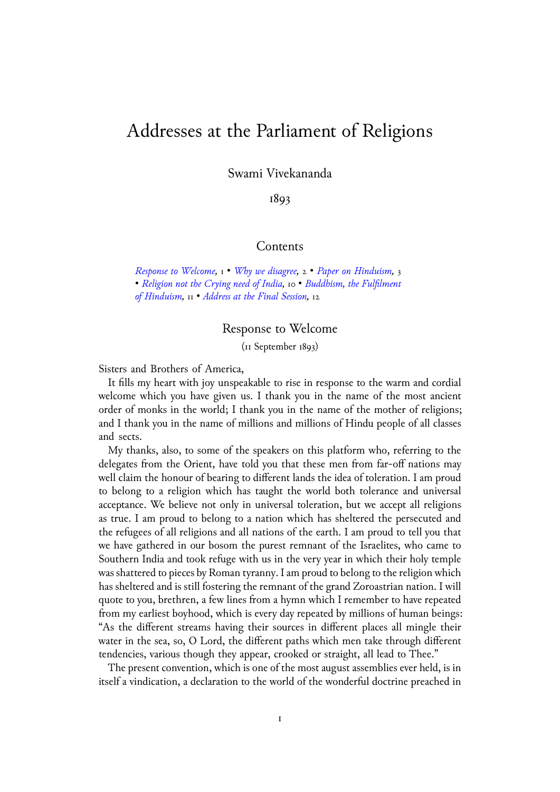# Addresses at the Parliament of Religions

Swami Vivekananda

1893

### Contents

*Response to Welcome,* 1 *• Why we disagree,* 2 *• Paper on Hinduism,* 3 *• Religion not the Crying need of India,* 10 *• Buddhism, the Fulfilment of Hinduism,* 11 *• Address at the Final Session,* 12

# [Response to](#page-9-0) [W](#page-1-0)[elcome](#page-10-0)

[\(11 September 189](#page-11-0)3)

Sisters and Brothers of America,

It fills my heart with joy unspeakable to rise in response to the warm and cordial welcome which you have given us. I thank you in the name of the most ancient order of monks in the world; I thank you in the name of the mother of religions; and I thank you in the name of millions and millions of Hindu people of all classes and sects.

My thanks, also, to some of the speakers on this platform who, referring to the delegates from the Orient, have told you that these men from far-off nations may well claim the honour of bearing to different lands the idea of toleration. I am proud to belong to a religion which has taught the world both tolerance and universal acceptance. We believe not only in universal toleration, but we accept all religions as true. I am proud to belong to a nation which has sheltered the persecuted and the refugees of all religions and all nations of the earth. I am proud to tell you that we have gathered in our bosom the purest remnant of the Israelites, who came to Southern India and took refuge with us in the very year in which their holy temple was shattered to pieces by Roman tyranny. I am proud to belong to the religion which has sheltered and is still fostering the remnant of the grand Zoroastrian nation. I will quote to you, brethren, a few lines from a hymn which I remember to have repeated from my earliest boyhood, which is every day repeated by millions of human beings: "As the different streams having their sources in different places all mingle their water in the sea, so, O Lord, the different paths which men take through different tendencies, various though they appear, crooked or straight, all lead to Thee."

The present convention, which is one of the most august assemblies ever held, is in itself a vindication, a declaration to the world of the wonderful doctrine preached in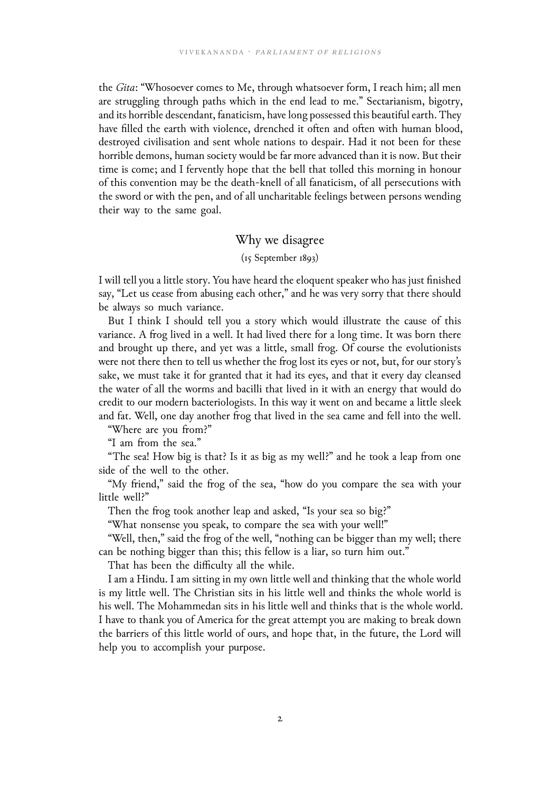the *Gita*: "Whosoever comes to Me, through whatsoever form, I reach him; all men are struggling through paths which in the end lead to me." Sectarianism, bigotry, and its horrible descendant, fanaticism, have long possessed this beautiful earth. They have filled the earth with violence, drenched it often and often with human blood, destroyed civilisation and sent whole nations to despair. Had it not been for these horrible demons, human society would be far more advanced than it is now. But their time is come; and I fervently hope that the bell that tolled this morning in honour of this convention may be the death-knell of all fanaticism, of all persecutions with the sword or with the pen, and of all uncharitable feelings between persons wending their way to the same goal.

### Why we disagree

(15 September 1893)

<span id="page-1-0"></span>I will tell you a little story. You have heard the eloquent speaker who has just finished say, "Let us cease from abusing each other," and he was very sorry that there should be always so much variance.

But I think I should tell you a story which would illustrate the cause of this variance. A frog lived in a well. It had lived there for a long time. It was born there and brought up there, and yet was a little, small frog. Of course the evolutionists were not there then to tell us whether the frog lost its eyes or not, but, for our story's sake, we must take it for granted that it had its eyes, and that it every day cleansed the water of all the worms and bacilli that lived in it with an energy that would do credit to our modern bacteriologists. In this way it went on and became a little sleek and fat. Well, one day another frog that lived in the sea came and fell into the well.

"Where are you from?"

"I am from the sea."

"The sea! How big is that? Is it as big as my well?" and he took a leap from one side of the well to the other.

"My friend," said the frog of the sea, "how do you compare the sea with your little well?"

Then the frog took another leap and asked, "Is your sea so big?"

"What nonsense you speak, to compare the sea with your well!"

"Well, then," said the frog of the well, "nothing can be bigger than my well; there can be nothing bigger than this; this fellow is a liar, so turn him out."

That has been the difficulty all the while.

I am a Hindu. I am sitting in my own little well and thinking that the whole world is my little well. The Christian sits in his little well and thinks the whole world is his well. The Mohammedan sits in his little well and thinks that is the whole world. I have to thank you of America for the great attempt you are making to break down the barriers of this little world of ours, and hope that, in the future, the Lord will help you to accomplish your purpose.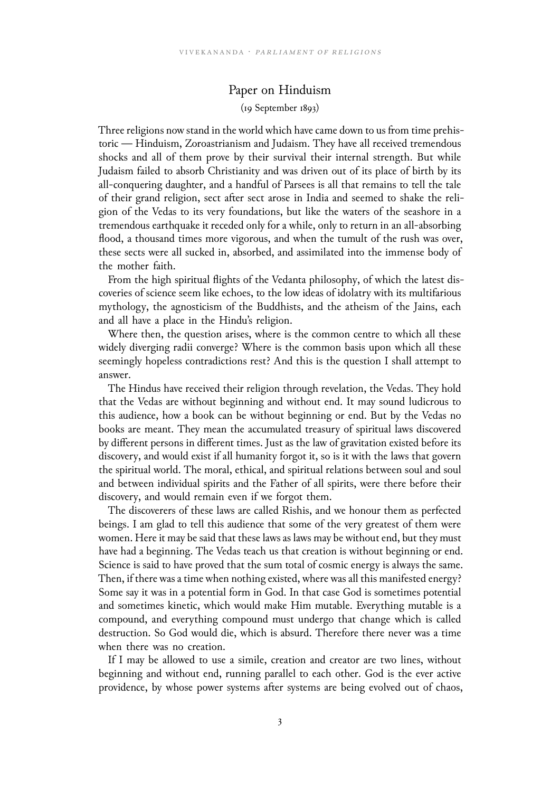## Paper on Hinduism

#### (19 September 1893)

<span id="page-2-0"></span>Three religions now stand in the world which have came down to us from time prehistoric — Hinduism, Zoroastrianism and Judaism. They have all received tremendous shocks and all of them prove by their survival their internal strength. But while Judaism failed to absorb Christianity and was driven out of its place of birth by its all-conquering daughter, and a handful of Parsees is all that remains to tell the tale of their grand religion, sect after sect arose in India and seemed to shake the religion of the Vedas to its very foundations, but like the waters of the seashore in a tremendous earthquake it receded only for a while, only to return in an all-absorbing flood, a thousand times more vigorous, and when the tumult of the rush was over, these sects were all sucked in, absorbed, and assimilated into the immense body of the mother faith.

From the high spiritual flights of the Vedanta philosophy, of which the latest discoveries of science seem like echoes, to the low ideas of idolatry with its multifarious mythology, the agnosticism of the Buddhists, and the atheism of the Jains, each and all have a place in the Hindu's religion.

Where then, the question arises, where is the common centre to which all these widely diverging radii converge? Where is the common basis upon which all these seemingly hopeless contradictions rest? And this is the question I shall attempt to answer.

The Hindus have received their religion through revelation, the Vedas. They hold that the Vedas are without beginning and without end. It may sound ludicrous to this audience, how a book can be without beginning or end. But by the Vedas no books are meant. They mean the accumulated treasury of spiritual laws discovered by different persons in different times. Just as the law of gravitation existed before its discovery, and would exist if all humanity forgot it, so is it with the laws that govern the spiritual world. The moral, ethical, and spiritual relations between soul and soul and between individual spirits and the Father of all spirits, were there before their discovery, and would remain even if we forgot them.

The discoverers of these laws are called Rishis, and we honour them as perfected beings. I am glad to tell this audience that some of the very greatest of them were women. Here it may be said that these laws as laws may be without end, but they must have had a beginning. The Vedas teach us that creation is without beginning or end. Science is said to have proved that the sum total of cosmic energy is always the same. Then, if there was a time when nothing existed, where was all this manifested energy? Some say it was in a potential form in God. In that case God is sometimes potential and sometimes kinetic, which would make Him mutable. Everything mutable is a compound, and everything compound must undergo that change which is called destruction. So God would die, which is absurd. Therefore there never was a time when there was no creation.

If I may be allowed to use a simile, creation and creator are two lines, without beginning and without end, running parallel to each other. God is the ever active providence, by whose power systems after systems are being evolved out of chaos,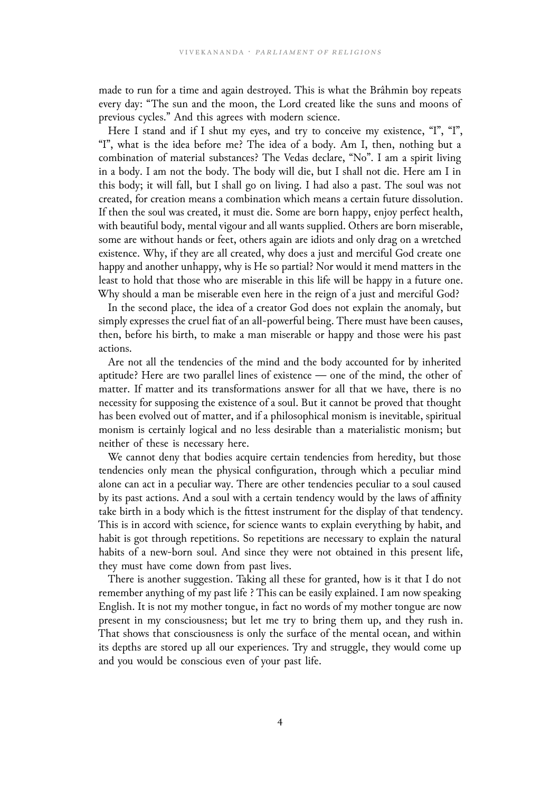made to run for a time and again destroyed. This is what the Brâhmin boy repeats every day: "The sun and the moon, the Lord created like the suns and moons of previous cycles." And this agrees with modern science.

Here I stand and if I shut my eyes, and try to conceive my existence, "I", "I", "I", what is the idea before me? The idea of a body. Am I, then, nothing but a combination of material substances? The Vedas declare, "No". I am a spirit living in a body. I am not the body. The body will die, but I shall not die. Here am I in this body; it will fall, but I shall go on living. I had also a past. The soul was not created, for creation means a combination which means a certain future dissolution. If then the soul was created, it must die. Some are born happy, enjoy perfect health, with beautiful body, mental vigour and all wants supplied. Others are born miserable, some are without hands or feet, others again are idiots and only drag on a wretched existence. Why, if they are all created, why does a just and merciful God create one happy and another unhappy, why is He so partial? Nor would it mend matters in the least to hold that those who are miserable in this life will be happy in a future one. Why should a man be miserable even here in the reign of a just and merciful God?

In the second place, the idea of a creator God does not explain the anomaly, but simply expresses the cruel fiat of an all-powerful being. There must have been causes, then, before his birth, to make a man miserable or happy and those were his past actions.

Are not all the tendencies of the mind and the body accounted for by inherited aptitude? Here are two parallel lines of existence — one of the mind, the other of matter. If matter and its transformations answer for all that we have, there is no necessity for supposing the existence of a soul. But it cannot be proved that thought has been evolved out of matter, and if a philosophical monism is inevitable, spiritual monism is certainly logical and no less desirable than a materialistic monism; but neither of these is necessary here.

We cannot deny that bodies acquire certain tendencies from heredity, but those tendencies only mean the physical configuration, through which a peculiar mind alone can act in a peculiar way. There are other tendencies peculiar to a soul caused by its past actions. And a soul with a certain tendency would by the laws of affinity take birth in a body which is the fittest instrument for the display of that tendency. This is in accord with science, for science wants to explain everything by habit, and habit is got through repetitions. So repetitions are necessary to explain the natural habits of a new-born soul. And since they were not obtained in this present life, they must have come down from past lives.

There is another suggestion. Taking all these for granted, how is it that I do not remember anything of my past life ? This can be easily explained. I am now speaking English. It is not my mother tongue, in fact no words of my mother tongue are now present in my consciousness; but let me try to bring them up, and they rush in. That shows that consciousness is only the surface of the mental ocean, and within its depths are stored up all our experiences. Try and struggle, they would come up and you would be conscious even of your past life.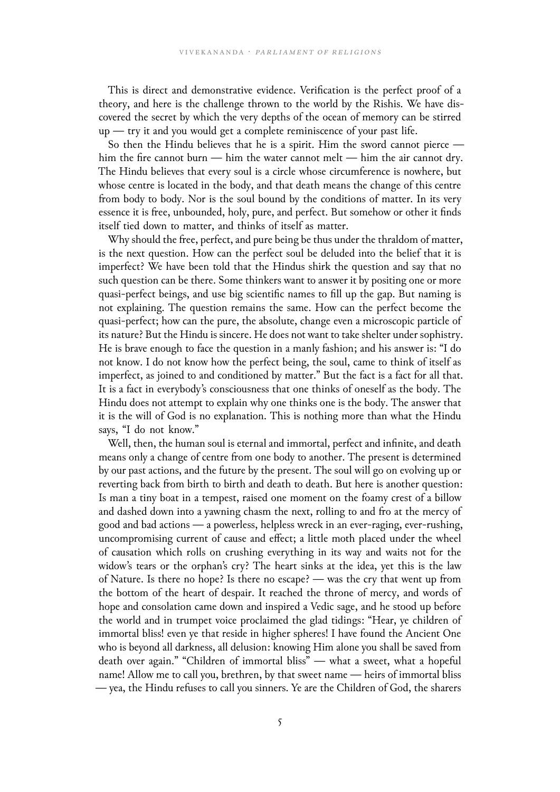This is direct and demonstrative evidence. Verification is the perfect proof of a theory, and here is the challenge thrown to the world by the Rishis. We have discovered the secret by which the very depths of the ocean of memory can be stirred up — try it and you would get a complete reminiscence of your past life.

So then the Hindu believes that he is a spirit. Him the sword cannot pierce him the fire cannot burn — him the water cannot melt — him the air cannot dry. The Hindu believes that every soul is a circle whose circumference is nowhere, but whose centre is located in the body, and that death means the change of this centre from body to body. Nor is the soul bound by the conditions of matter. In its very essence it is free, unbounded, holy, pure, and perfect. But somehow or other it finds itself tied down to matter, and thinks of itself as matter.

Why should the free, perfect, and pure being be thus under the thraldom of matter, is the next question. How can the perfect soul be deluded into the belief that it is imperfect? We have been told that the Hindus shirk the question and say that no such question can be there. Some thinkers want to answer it by positing one or more quasi-perfect beings, and use big scientific names to fill up the gap. But naming is not explaining. The question remains the same. How can the perfect become the quasi-perfect; how can the pure, the absolute, change even a microscopic particle of its nature? But the Hindu is sincere. He does not want to take shelter under sophistry. He is brave enough to face the question in a manly fashion; and his answer is: "I do not know. I do not know how the perfect being, the soul, came to think of itself as imperfect, as joined to and conditioned by matter." But the fact is a fact for all that. It is a fact in everybody's consciousness that one thinks of oneself as the body. The Hindu does not attempt to explain why one thinks one is the body. The answer that it is the will of God is no explanation. This is nothing more than what the Hindu says, "I do not know."

Well, then, the human soul is eternal and immortal, perfect and infinite, and death means only a change of centre from one body to another. The present is determined by our past actions, and the future by the present. The soul will go on evolving up or reverting back from birth to birth and death to death. But here is another question: Is man a tiny boat in a tempest, raised one moment on the foamy crest of a billow and dashed down into a yawning chasm the next, rolling to and fro at the mercy of good and bad actions — a powerless, helpless wreck in an ever-raging, ever-rushing, uncompromising current of cause and effect; a little moth placed under the wheel of causation which rolls on crushing everything in its way and waits not for the widow's tears or the orphan's cry? The heart sinks at the idea, yet this is the law of Nature. Is there no hope? Is there no escape? — was the cry that went up from the bottom of the heart of despair. It reached the throne of mercy, and words of hope and consolation came down and inspired a Vedic sage, and he stood up before the world and in trumpet voice proclaimed the glad tidings: "Hear, ye children of immortal bliss! even ye that reside in higher spheres! I have found the Ancient One who is beyond all darkness, all delusion: knowing Him alone you shall be saved from death over again." "Children of immortal bliss" — what a sweet, what a hopeful name! Allow me to call you, brethren, by that sweet name — heirs of immortal bliss — yea, the Hindu refuses to call you sinners. Ye are the Children of God, the sharers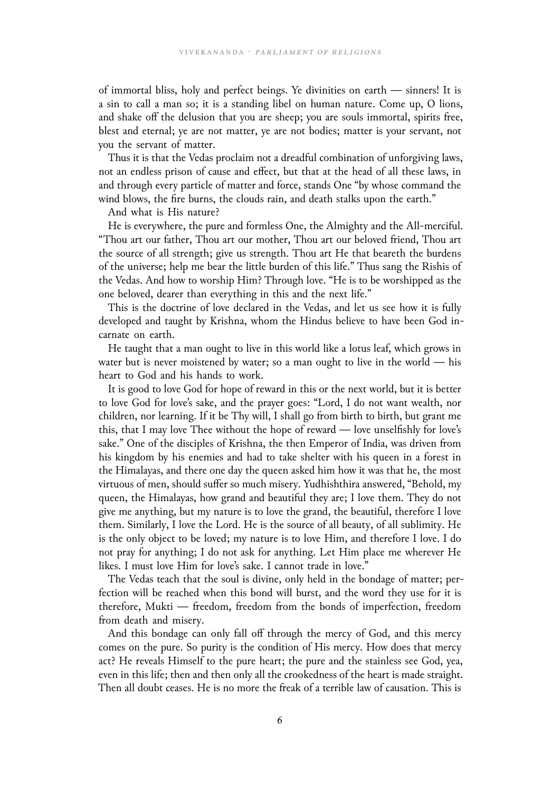of immortal bliss, holy and perfect beings. Ye divinities on earth — sinners! It is a sin to call a man so; it is a standing libel on human nature. Come up, O lions, and shake off the delusion that you are sheep; you are souls immortal, spirits free, blest and eternal; ye are not matter, ye are not bodies; matter is your servant, not you the servant of matter.

Thus it is that the Vedas proclaim not a dreadful combination of unforgiving laws, not an endless prison of cause and effect, but that at the head of all these laws, in and through every particle of matter and force, stands One "by whose command the wind blows, the fire burns, the clouds rain, and death stalks upon the earth."

And what is His nature?

He is everywhere, the pure and formless One, the Almighty and the All-merciful. "Thou art our father, Thou art our mother, Thou art our beloved friend, Thou art the source of all strength; give us strength. Thou art He that beareth the burdens of the universe; help me bear the little burden of this life." Thus sang the Rishis of the Vedas. And how to worship Him? Through love. "He is to be worshipped as the one beloved, dearer than everything in this and the next life."

This is the doctrine of love declared in the Vedas, and let us see how it is fully developed and taught by Krishna, whom the Hindus believe to have been God incarnate on earth.

He taught that a man ought to live in this world like a lotus leaf, which grows in water but is never moistened by water; so a man ought to live in the world — his heart to God and his hands to work.

It is good to love God for hope of reward in this or the next world, but it is better to love God for love's sake, and the prayer goes: "Lord, I do not want wealth, nor children, nor learning. If it be Thy will, I shall go from birth to birth, but grant me this, that I may love Thee without the hope of reward — love unselfishly for love's sake." One of the disciples of Krishna, the then Emperor of India, was driven from his kingdom by his enemies and had to take shelter with his queen in a forest in the Himalayas, and there one day the queen asked him how it was that he, the most virtuous of men, should suffer so much misery. Yudhishthira answered, "Behold, my queen, the Himalayas, how grand and beautiful they are; I love them. They do not give me anything, but my nature is to love the grand, the beautiful, therefore I love them. Similarly, I love the Lord. He is the source of all beauty, of all sublimity. He is the only object to be loved; my nature is to love Him, and therefore I love. I do not pray for anything; I do not ask for anything. Let Him place me wherever He likes. I must love Him for love's sake. I cannot trade in love."

The Vedas teach that the soul is divine, only held in the bondage of matter; perfection will be reached when this bond will burst, and the word they use for it is therefore, Mukti — freedom, freedom from the bonds of imperfection, freedom from death and misery.

And this bondage can only fall off through the mercy of God, and this mercy comes on the pure. So purity is the condition of His mercy. How does that mercy act? He reveals Himself to the pure heart; the pure and the stainless see God, yea, even in this life; then and then only all the crookedness of the heart is made straight. Then all doubt ceases. He is no more the freak of a terrible law of causation. This is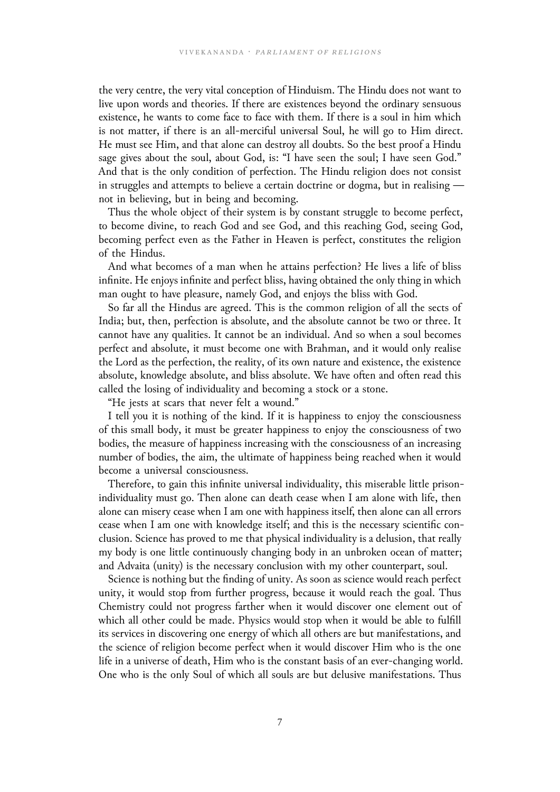the very centre, the very vital conception of Hinduism. The Hindu does not want to live upon words and theories. If there are existences beyond the ordinary sensuous existence, he wants to come face to face with them. If there is a soul in him which is not matter, if there is an all-merciful universal Soul, he will go to Him direct. He must see Him, and that alone can destroy all doubts. So the best proof a Hindu sage gives about the soul, about God, is: "I have seen the soul; I have seen God." And that is the only condition of perfection. The Hindu religion does not consist in struggles and attempts to believe a certain doctrine or dogma, but in realising not in believing, but in being and becoming.

Thus the whole object of their system is by constant struggle to become perfect, to become divine, to reach God and see God, and this reaching God, seeing God, becoming perfect even as the Father in Heaven is perfect, constitutes the religion of the Hindus.

And what becomes of a man when he attains perfection? He lives a life of bliss infinite. He enjoys infinite and perfect bliss, having obtained the only thing in which man ought to have pleasure, namely God, and enjoys the bliss with God.

So far all the Hindus are agreed. This is the common religion of all the sects of India; but, then, perfection is absolute, and the absolute cannot be two or three. It cannot have any qualities. It cannot be an individual. And so when a soul becomes perfect and absolute, it must become one with Brahman, and it would only realise the Lord as the perfection, the reality, of its own nature and existence, the existence absolute, knowledge absolute, and bliss absolute. We have often and often read this called the losing of individuality and becoming a stock or a stone.

"He jests at scars that never felt a wound."

I tell you it is nothing of the kind. If it is happiness to enjoy the consciousness of this small body, it must be greater happiness to enjoy the consciousness of two bodies, the measure of happiness increasing with the consciousness of an increasing number of bodies, the aim, the ultimate of happiness being reached when it would become a universal consciousness.

Therefore, to gain this infinite universal individuality, this miserable little prisonindividuality must go. Then alone can death cease when I am alone with life, then alone can misery cease when I am one with happiness itself, then alone can all errors cease when I am one with knowledge itself; and this is the necessary scientific conclusion. Science has proved to me that physical individuality is a delusion, that really my body is one little continuously changing body in an unbroken ocean of matter; and Advaita (unity) is the necessary conclusion with my other counterpart, soul.

Science is nothing but the finding of unity. As soon as science would reach perfect unity, it would stop from further progress, because it would reach the goal. Thus Chemistry could not progress farther when it would discover one element out of which all other could be made. Physics would stop when it would be able to fulfill its services in discovering one energy of which all others are but manifestations, and the science of religion become perfect when it would discover Him who is the one life in a universe of death, Him who is the constant basis of an ever-changing world. One who is the only Soul of which all souls are but delusive manifestations. Thus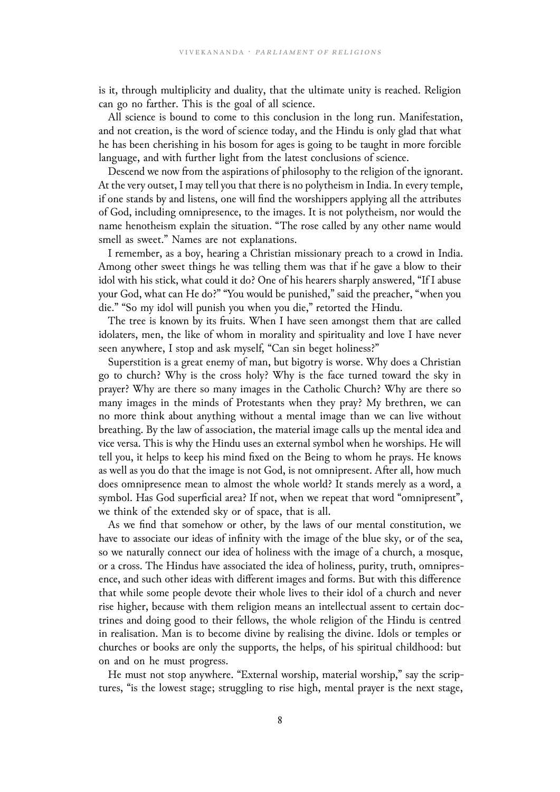is it, through multiplicity and duality, that the ultimate unity is reached. Religion can go no farther. This is the goal of all science.

All science is bound to come to this conclusion in the long run. Manifestation, and not creation, is the word of science today, and the Hindu is only glad that what he has been cherishing in his bosom for ages is going to be taught in more forcible language, and with further light from the latest conclusions of science.

Descend we now from the aspirations of philosophy to the religion of the ignorant. At the very outset, I may tell you that there is no polytheism in India. In every temple, if one stands by and listens, one will find the worshippers applying all the attributes of God, including omnipresence, to the images. It is not polytheism, nor would the name henotheism explain the situation. "The rose called by any other name would smell as sweet." Names are not explanations.

I remember, as a boy, hearing a Christian missionary preach to a crowd in India. Among other sweet things he was telling them was that if he gave a blow to their idol with his stick, what could it do? One of his hearers sharply answered, "If I abuse your God, what can He do?" "You would be punished," said the preacher, "when you die." "So my idol will punish you when you die," retorted the Hindu.

The tree is known by its fruits. When I have seen amongst them that are called idolaters, men, the like of whom in morality and spirituality and love I have never seen anywhere, I stop and ask myself, "Can sin beget holiness?"

Superstition is a great enemy of man, but bigotry is worse. Why does a Christian go to church? Why is the cross holy? Why is the face turned toward the sky in prayer? Why are there so many images in the Catholic Church? Why are there so many images in the minds of Protestants when they pray? My brethren, we can no more think about anything without a mental image than we can live without breathing. By the law of association, the material image calls up the mental idea and vice versa. This is why the Hindu uses an external symbol when he worships. He will tell you, it helps to keep his mind fixed on the Being to whom he prays. He knows as well as you do that the image is not God, is not omnipresent. After all, how much does omnipresence mean to almost the whole world? It stands merely as a word, a symbol. Has God superficial area? If not, when we repeat that word "omnipresent", we think of the extended sky or of space, that is all.

As we find that somehow or other, by the laws of our mental constitution, we have to associate our ideas of infinity with the image of the blue sky, or of the sea, so we naturally connect our idea of holiness with the image of a church, a mosque, or a cross. The Hindus have associated the idea of holiness, purity, truth, omnipresence, and such other ideas with different images and forms. But with this difference that while some people devote their whole lives to their idol of a church and never rise higher, because with them religion means an intellectual assent to certain doctrines and doing good to their fellows, the whole religion of the Hindu is centred in realisation. Man is to become divine by realising the divine. Idols or temples or churches or books are only the supports, the helps, of his spiritual childhood: but on and on he must progress.

He must not stop anywhere. "External worship, material worship," say the scriptures, "is the lowest stage; struggling to rise high, mental prayer is the next stage,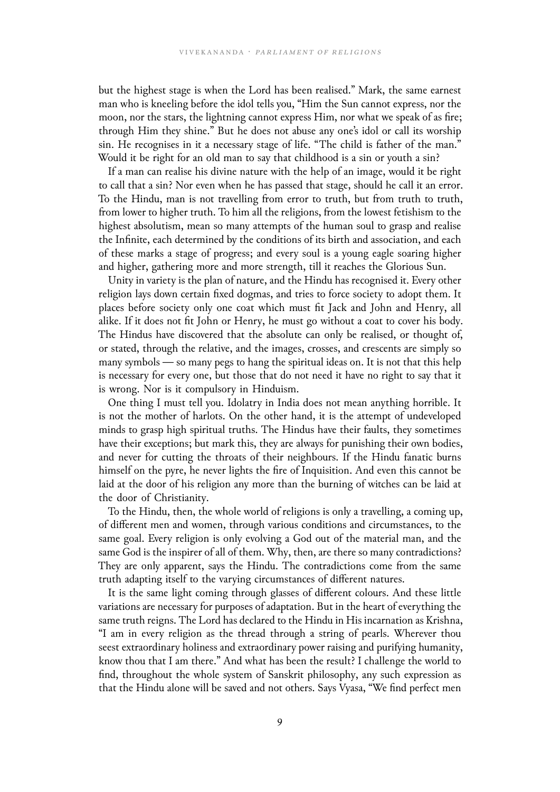but the highest stage is when the Lord has been realised." Mark, the same earnest man who is kneeling before the idol tells you, "Him the Sun cannot express, nor the moon, nor the stars, the lightning cannot express Him, nor what we speak of as fire; through Him they shine." But he does not abuse any one's idol or call its worship sin. He recognises in it a necessary stage of life. "The child is father of the man." Would it be right for an old man to say that childhood is a sin or youth a sin?

If a man can realise his divine nature with the help of an image, would it be right to call that a sin? Nor even when he has passed that stage, should he call it an error. To the Hindu, man is not travelling from error to truth, but from truth to truth, from lower to higher truth. To him all the religions, from the lowest fetishism to the highest absolutism, mean so many attempts of the human soul to grasp and realise the Infinite, each determined by the conditions of its birth and association, and each of these marks a stage of progress; and every soul is a young eagle soaring higher and higher, gathering more and more strength, till it reaches the Glorious Sun.

Unity in variety is the plan of nature, and the Hindu has recognised it. Every other religion lays down certain fixed dogmas, and tries to force society to adopt them. It places before society only one coat which must fit Jack and John and Henry, all alike. If it does not fit John or Henry, he must go without a coat to cover his body. The Hindus have discovered that the absolute can only be realised, or thought of, or stated, through the relative, and the images, crosses, and crescents are simply so many symbols — so many pegs to hang the spiritual ideas on. It is not that this help is necessary for every one, but those that do not need it have no right to say that it is wrong. Nor is it compulsory in Hinduism.

One thing I must tell you. Idolatry in India does not mean anything horrible. It is not the mother of harlots. On the other hand, it is the attempt of undeveloped minds to grasp high spiritual truths. The Hindus have their faults, they sometimes have their exceptions; but mark this, they are always for punishing their own bodies, and never for cutting the throats of their neighbours. If the Hindu fanatic burns himself on the pyre, he never lights the fire of Inquisition. And even this cannot be laid at the door of his religion any more than the burning of witches can be laid at the door of Christianity.

To the Hindu, then, the whole world of religions is only a travelling, a coming up, of different men and women, through various conditions and circumstances, to the same goal. Every religion is only evolving a God out of the material man, and the same God is the inspirer of all of them. Why, then, are there so many contradictions? They are only apparent, says the Hindu. The contradictions come from the same truth adapting itself to the varying circumstances of different natures.

It is the same light coming through glasses of different colours. And these little variations are necessary for purposes of adaptation. But in the heart of everything the same truth reigns. The Lord has declared to the Hindu in His incarnation as Krishna, "I am in every religion as the thread through a string of pearls. Wherever thou seest extraordinary holiness and extraordinary power raising and purifying humanity, know thou that I am there." And what has been the result? I challenge the world to find, throughout the whole system of Sanskrit philosophy, any such expression as that the Hindu alone will be saved and not others. Says Vyasa, "We find perfect men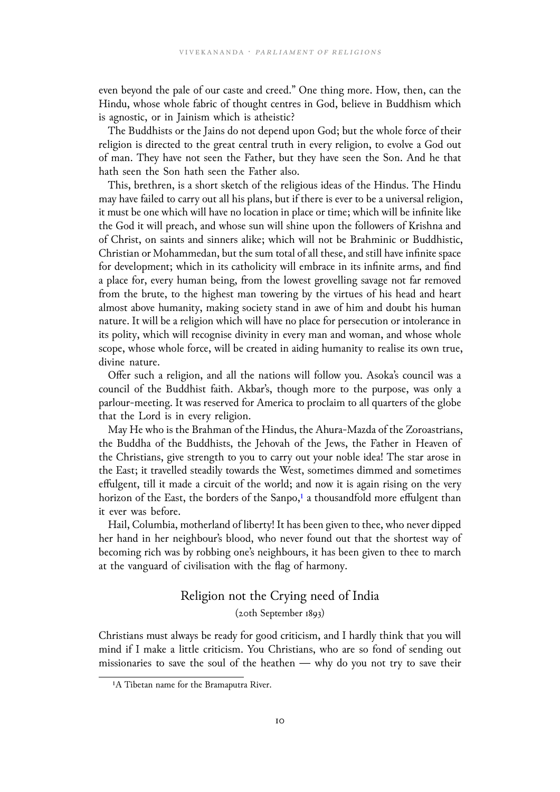even beyond the pale of our caste and creed." One thing more. How, then, can the Hindu, whose whole fabric of thought centres in God, believe in Buddhism which is agnostic, or in Jainism which is atheistic?

The Buddhists or the Jains do not depend upon God; but the whole force of their religion is directed to the great central truth in every religion, to evolve a God out of man. They have not seen the Father, but they have seen the Son. And he that hath seen the Son hath seen the Father also.

This, brethren, is a short sketch of the religious ideas of the Hindus. The Hindu may have failed to carry out all his plans, but if there is ever to be a universal religion, it must be one which will have no location in place or time; which will be infinite like the God it will preach, and whose sun will shine upon the followers of Krishna and of Christ, on saints and sinners alike; which will not be Brahminic or Buddhistic, Christian or Mohammedan, but the sum total of all these, and still have infinite space for development; which in its catholicity will embrace in its infinite arms, and find a place for, every human being, from the lowest grovelling savage not far removed from the brute, to the highest man towering by the virtues of his head and heart almost above humanity, making society stand in awe of him and doubt his human nature. It will be a religion which will have no place for persecution or intolerance in its polity, which will recognise divinity in every man and woman, and whose whole scope, whose whole force, will be created in aiding humanity to realise its own true, divine nature.

Offer such a religion, and all the nations will follow you. Asoka's council was a council of the Buddhist faith. Akbar's, though more to the purpose, was only a parlour-meeting. It was reserved for America to proclaim to all quarters of the globe that the Lord is in every religion.

May He who is the Brahman of the Hindus, the Ahura-Mazda of the Zoroastrians, the Buddha of the Buddhists, the Jehovah of the Jews, the Father in Heaven of the Christians, give strength to you to carry out your noble idea! The star arose in the East; it travelled steadily towards the West, sometimes dimmed and sometimes effulgent, till it made a circuit of the world; and now it is again rising on the very horizon of the East, the borders of the Sanpo, $<sup>1</sup>$  a thousandfold more effulgent than</sup> it ever was before.

Hail, Columbia, motherland of liberty! It has been given to thee, who never dipped her hand in her neighbour's blood, who neve[r](#page-9-1) found out that the shortest way of becoming rich was by robbing one's neighbours, it has been given to thee to march at the vanguard of civilisation with the flag of harmony.

# Religion not the Crying need of India

(20th September 1893)

<span id="page-9-0"></span>Christians must always be ready for good criticism, and I hardly think that you will mind if I make a little criticism. You Christians, who are so fond of sending out missionaries to save the soul of the heathen — why do you not try to save their

<span id="page-9-1"></span><sup>&</sup>lt;sup>1</sup>A Tibetan name for the Bramaputra River.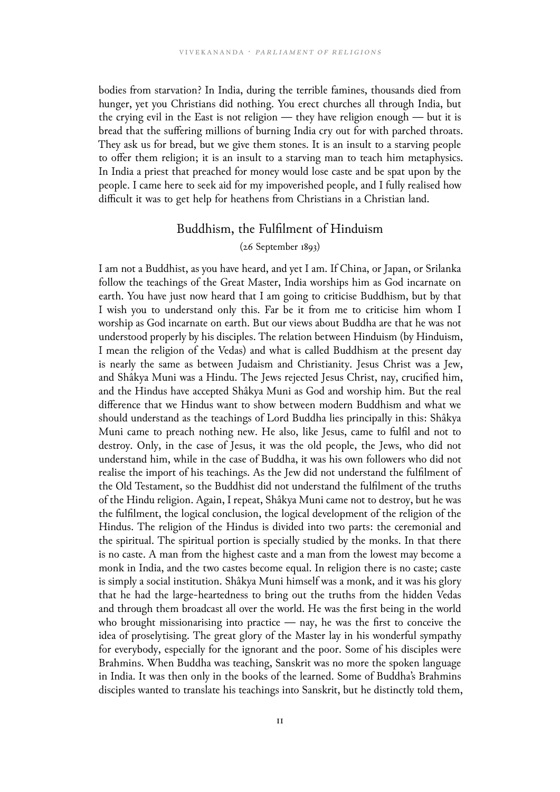bodies from starvation? In India, during the terrible famines, thousands died from hunger, yet you Christians did nothing. You erect churches all through India, but the crying evil in the East is not religion — they have religion enough — but it is bread that the suffering millions of burning India cry out for with parched throats. They ask us for bread, but we give them stones. It is an insult to a starving people to offer them religion; it is an insult to a starving man to teach him metaphysics. In India a priest that preached for money would lose caste and be spat upon by the people. I came here to seek aid for my impoverished people, and I fully realised how difficult it was to get help for heathens from Christians in a Christian land.

## Buddhism, the Fulfilment of Hinduism

#### (26 September 1893)

<span id="page-10-0"></span>I am not a Buddhist, as you have heard, and yet I am. If China, or Japan, or Srilanka follow the teachings of the Great Master, India worships him as God incarnate on earth. You have just now heard that I am going to criticise Buddhism, but by that I wish you to understand only this. Far be it from me to criticise him whom I worship as God incarnate on earth. But our views about Buddha are that he was not understood properly by his disciples. The relation between Hinduism (by Hinduism, I mean the religion of the Vedas) and what is called Buddhism at the present day is nearly the same as between Judaism and Christianity. Jesus Christ was a Jew, and Shâkya Muni was a Hindu. The Jews rejected Jesus Christ, nay, crucified him, and the Hindus have accepted Shâkya Muni as God and worship him. But the real difference that we Hindus want to show between modern Buddhism and what we should understand as the teachings of Lord Buddha lies principally in this: Shâkya Muni came to preach nothing new. He also, like Jesus, came to fulfil and not to destroy. Only, in the case of Jesus, it was the old people, the Jews, who did not understand him, while in the case of Buddha, it was his own followers who did not realise the import of his teachings. As the Jew did not understand the fulfilment of the Old Testament, so the Buddhist did not understand the fulfilment of the truths of the Hindu religion. Again, I repeat, Shâkya Muni came not to destroy, but he was the fulfilment, the logical conclusion, the logical development of the religion of the Hindus. The religion of the Hindus is divided into two parts: the ceremonial and the spiritual. The spiritual portion is specially studied by the monks. In that there is no caste. A man from the highest caste and a man from the lowest may become a monk in India, and the two castes become equal. In religion there is no caste; caste is simply a social institution. Shâkya Muni himself was a monk, and it was his glory that he had the large-heartedness to bring out the truths from the hidden Vedas and through them broadcast all over the world. He was the first being in the world who brought missionarising into practice — nay, he was the first to conceive the idea of proselytising. The great glory of the Master lay in his wonderful sympathy for everybody, especially for the ignorant and the poor. Some of his disciples were Brahmins. When Buddha was teaching, Sanskrit was no more the spoken language in India. It was then only in the books of the learned. Some of Buddha's Brahmins disciples wanted to translate his teachings into Sanskrit, but he distinctly told them,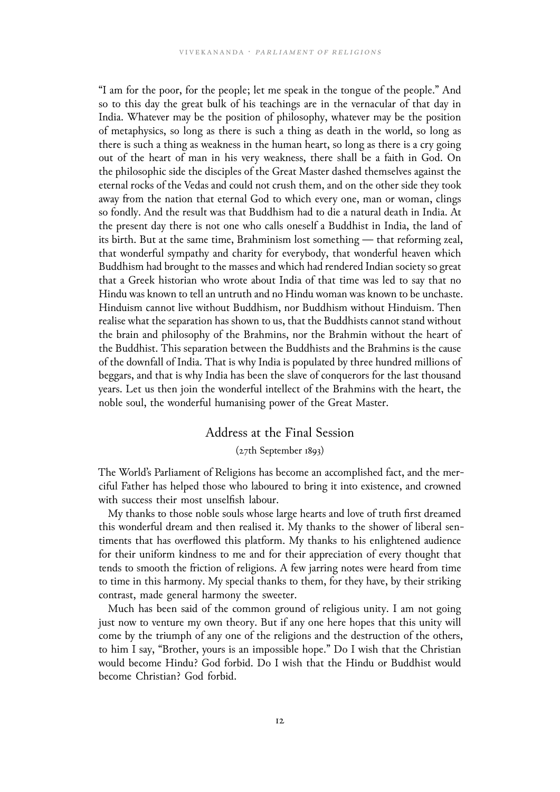"I am for the poor, for the people; let me speak in the tongue of the people." And so to this day the great bulk of his teachings are in the vernacular of that day in India. Whatever may be the position of philosophy, whatever may be the position of metaphysics, so long as there is such a thing as death in the world, so long as there is such a thing as weakness in the human heart, so long as there is a cry going out of the heart of man in his very weakness, there shall be a faith in God. On the philosophic side the disciples of the Great Master dashed themselves against the eternal rocks of the Vedas and could not crush them, and on the other side they took away from the nation that eternal God to which every one, man or woman, clings so fondly. And the result was that Buddhism had to die a natural death in India. At the present day there is not one who calls oneself a Buddhist in India, the land of its birth. But at the same time, Brahminism lost something — that reforming zeal, that wonderful sympathy and charity for everybody, that wonderful heaven which Buddhism had brought to the masses and which had rendered Indian society so great that a Greek historian who wrote about India of that time was led to say that no Hindu was known to tell an untruth and no Hindu woman was known to be unchaste. Hinduism cannot live without Buddhism, nor Buddhism without Hinduism. Then realise what the separation has shown to us, that the Buddhists cannot stand without the brain and philosophy of the Brahmins, nor the Brahmin without the heart of the Buddhist. This separation between the Buddhists and the Brahmins is the cause of the downfall of India. That is why India is populated by three hundred millions of beggars, and that is why India has been the slave of conquerors for the last thousand years. Let us then join the wonderful intellect of the Brahmins with the heart, the noble soul, the wonderful humanising power of the Great Master.

## Address at the Final Session

(27th September 1893)

<span id="page-11-0"></span>The World's Parliament of Religions has become an accomplished fact, and the merciful Father has helped those who laboured to bring it into existence, and crowned with success their most unselfish labour.

My thanks to those noble souls whose large hearts and love of truth first dreamed this wonderful dream and then realised it. My thanks to the shower of liberal sentiments that has overflowed this platform. My thanks to his enlightened audience for their uniform kindness to me and for their appreciation of every thought that tends to smooth the friction of religions. A few jarring notes were heard from time to time in this harmony. My special thanks to them, for they have, by their striking contrast, made general harmony the sweeter.

Much has been said of the common ground of religious unity. I am not going just now to venture my own theory. But if any one here hopes that this unity will come by the triumph of any one of the religions and the destruction of the others, to him I say, "Brother, yours is an impossible hope." Do I wish that the Christian would become Hindu? God forbid. Do I wish that the Hindu or Buddhist would become Christian? God forbid.